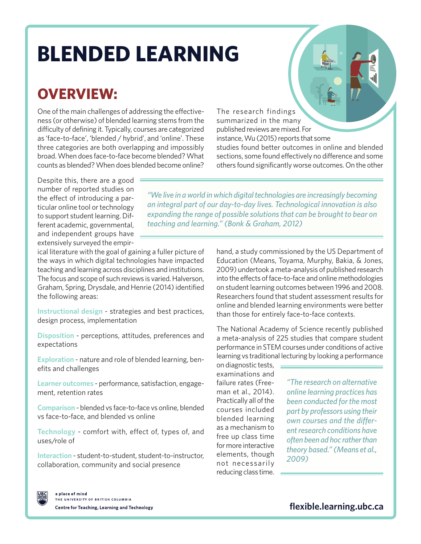# **BLENDED LEARNING**

## **OVERVIEW:**

One of the main challenges of addressing the effectiveness (or otherwise) of blended learning stems from the difficulty of defining it. Typically, courses are categorized as 'face-to-face', 'blended / hybrid', and 'online'. These three categories are both overlapping and impossibly broad. When does face-to-face become blended? What counts as blended? When does blended become online?

The research findings summarized in the many published reviews are mixed. For instance, Wu (2015) reports that some studies found better outcomes in online and blended sections, some found effectively no difference and some others found significantly worse outcomes. On the other

Despite this, there are a good number of reported studies on the effect of introducing a particular online tool or technology to support student learning. Different academic, governmental, and independent groups have extensively surveyed the empir-

*"We live in a world in which digital technologies are increasingly becoming an integral part of our day-to-day lives. Technological innovation is also expanding the range of possible solutions that can be brought to bear on teaching and learning." (Bonk & Graham, 2012)*

ical literature with the goal of gaining a fuller picture of the ways in which digital technologies have impacted teaching and learning across disciplines and institutions. The focus and scope of such reviews is varied. Halverson, Graham, Spring, Drysdale, and Henrie (2014) identified the following areas:

**Instructional design** - strategies and best practices, design process, implementation

**Disposition** - perceptions, attitudes, preferences and expectations

**Exploration** - nature and role of blended learning, benefits and challenges

**Learner outcomes** - performance, satisfaction, engagement, retention rates

**Comparison** - blended vs face-to-face vs online, blended vs face-to-face, and blended vs online

**Technology** - comfort with, effect of, types of, and uses/role of

**Interaction** - student-to-student, student-to-instructor, collaboration, community and social presence

hand, a study commissioned by the US Department of Education (Means, Toyama, Murphy, Bakia, & Jones, 2009) undertook a meta-analysis of published research into the effects of face-to-face and online methodologies on student learning outcomes between 1996 and 2008. Researchers found that student assessment results for online and blended learning environments were better than those for entirely face-to-face contexts.

The National Academy of Science recently published a meta-analysis of 225 studies that compare student performance in STEM courses under conditions of active learning vs traditional lecturing by looking a performance

on diagnostic tests, examinations and failure rates (Freeman et al., 2014). Practically all of the courses included blended learning as a mechanism to free up class time for more interactive elements, though not necessarily reducing class time.

*"The research on alternative online learning practices has been conducted for the most part by professors using their own courses and the different research conditions have often been ad hoc rather than theory based." (Means et al., 2009)*



**[flexible.learning.ubc.ca](http://flexible.learning.ubc.ca)**